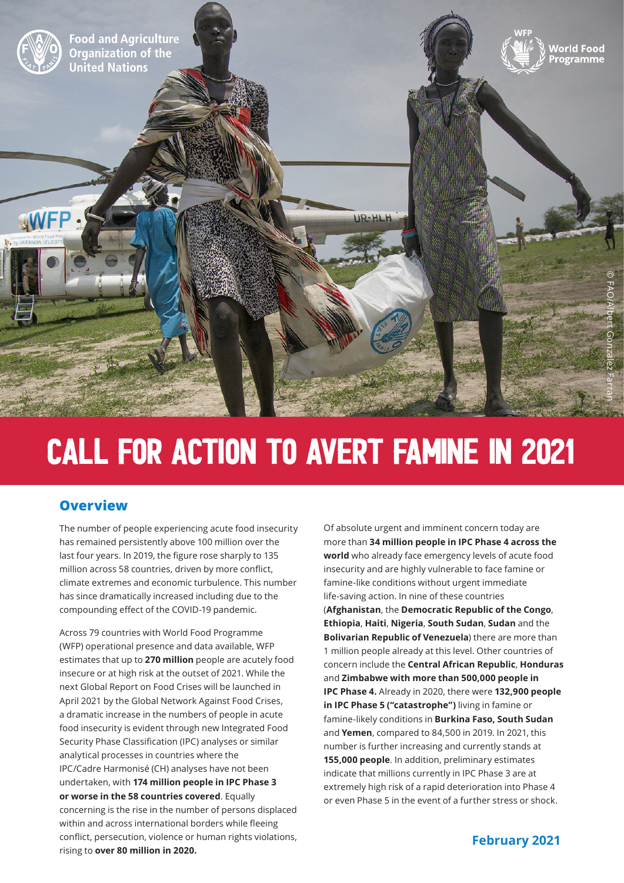

# Call for Action to Avert Famine in 2021

## **Overview**

The number of people experiencing acute food insecurity has remained persistently above 100 million over the last four years. In 2019, the figure rose sharply to 135 million across 58 countries, driven by more conflict, climate extremes and economic turbulence. This number has since dramatically increased including due to the compounding effect of the COVID-19 pandemic.

Across 79 countries with World Food Programme (WFP) operational presence and data available, WFP estimates that up to **270 million** people are acutely food insecure or at high risk at the outset of 2021. While the next Global Report on Food Crises will be launched in April 2021 by the Global Network Against Food Crises, a dramatic increase in the numbers of people in acute food insecurity is evident through new Integrated Food Security Phase Classification (IPC) analyses or similar analytical processes in countries where the IPC/Cadre Harmonisé (CH) analyses have not been undertaken, with **174 million people in IPC Phase 3 or worse in the 58 countries covered**. Equally concerning is the rise in the number of persons displaced within and across international borders while fleeing conflict, persecution, violence or human rights violations, rising to **over 80 million in 2020.**

Of absolute urgent and imminent concern today are more than **34 million people in IPC Phase 4 across the world** who already face emergency levels of acute food insecurity and are highly vulnerable to face famine or famine-like conditions without urgent immediate life-saving action. In nine of these countries (**Afghanistan**, the **Democratic Republic of the Congo**, **Ethiopia**, **Haiti**, **Nigeria**, **South Sudan**, **Sudan** and the **Bolivarian Republic of Venezuela**) there are more than 1 million people already at this level. Other countries of concern include the **Central African Republic**, **Honduras**  and **Zimbabwe with more than 500,000 people in IPC Phase 4.** Already in 2020, there were **132,900 people in IPC Phase 5 ("catastrophe")** living in famine or famine-likely conditions in **Burkina Faso, South Sudan**  and **Yemen**, compared to 84,500 in 2019. In 2021, this number is further increasing and currently stands at **155,000 people**. In addition, preliminary estimates indicate that millions currently in IPC Phase 3 are at extremely high risk of a rapid deterioration into Phase 4 or even Phase 5 in the event of a further stress or shock.

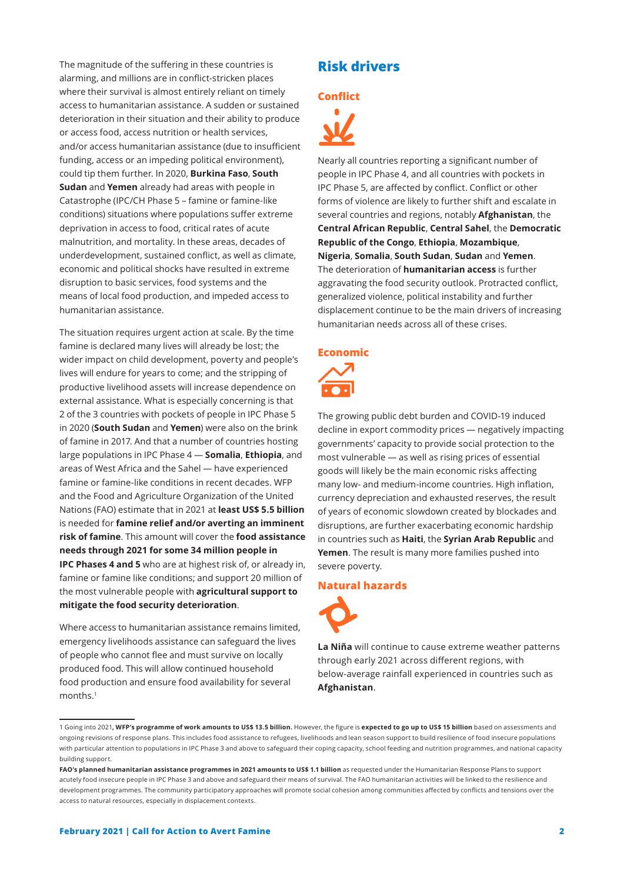The magnitude of the suffering in these countries is alarming, and millions are in conflict-stricken places where their survival is almost entirely reliant on timely access to humanitarian assistance. A sudden or sustained deterioration in their situation and their ability to produce or access food, access nutrition or health services, and/or access humanitarian assistance (due to insufficient funding, access or an impeding political environment), could tip them further. In 2020, **Burkina Faso**, **South Sudan** and **Yemen** already had areas with people in Catastrophe (IPC/CH Phase 5 – famine or famine-like conditions) situations where populations suffer extreme deprivation in access to food, critical rates of acute malnutrition, and mortality. In these areas, decades of underdevelopment, sustained conflict, as well as climate, economic and political shocks have resulted in extreme disruption to basic services, food systems and the means of local food production, and impeded access to humanitarian assistance.

The situation requires urgent action at scale. By the time famine is declared many lives will already be lost; the wider impact on child development, poverty and people's lives will endure for years to come; and the stripping of productive livelihood assets will increase dependence on external assistance. What is especially concerning is that 2 of the 3 countries with pockets of people in IPC Phase 5 in 2020 (**South Sudan** and **Yemen**) were also on the brink of famine in 2017. And that a number of countries hosting large populations in IPC Phase 4 — **Somalia**, **Ethiopia**, and areas of West Africa and the Sahel — have experienced famine or famine-like conditions in recent decades. WFP and the Food and Agriculture Organization of the United Nations (FAO) estimate that in 2021 at **least US\$ 5.5 billion** is needed for **famine relief and/or averting an imminent risk of famine**. This amount will cover the **food assistance needs through 2021 for some 34 million people in IPC Phases 4 and 5** who are at highest risk of, or already in, famine or famine like conditions; and support 20 million of the most vulnerable people with **agricultural support to mitigate the food security deterioration**.

Where access to humanitarian assistance remains limited, emergency livelihoods assistance can safeguard the lives of people who cannot flee and must survive on locally produced food. This will allow continued household food production and ensure food availability for several months.1

## **Risk drivers**

## **Conflict**



Nearly all countries reporting a significant number of people in IPC Phase 4, and all countries with pockets in IPC Phase 5, are affected by conflict. Conflict or other forms of violence are likely to further shift and escalate in several countries and regions, notably **Afghanistan**, the **Central African Republic**, **Central Sahel**, the **Democratic Republic of the Congo**, **Ethiopia**, **Mozambique**, **Nigeria**, **Somalia**, **South Sudan**, **Sudan** and **Yemen**. The deterioration of **humanitarian access** is further aggravating the food security outlook. Protracted conflict, generalized violence, political instability and further displacement continue to be the main drivers of increasing humanitarian needs across all of these crises.

## **Economic**



The growing public debt burden and COVID-19 induced decline in export commodity prices — negatively impacting governments' capacity to provide social protection to the most vulnerable — as well as rising prices of essential goods will likely be the main economic risks affecting many low- and medium-income countries. High inflation, currency depreciation and exhausted reserves, the result of years of economic slowdown created by blockades and disruptions, are further exacerbating economic hardship in countries such as **Haiti**, the **Syrian Arab Republic** and **Yemen**. The result is many more families pushed into severe poverty.

## **Natural hazards**



**La Niña** will continue to cause extreme weather patterns through early 2021 across different regions, with below-average rainfall experienced in countries such as **Afghanistan**.

<sup>1</sup> Going into 2021**, WFP's programme of work amounts to US\$ 13.5 billion.** However, the figure is **expected to go up to US\$ 15 billion** based on assessments and ongoing revisions of response plans. This includes food assistance to refugees, livelihoods and lean season support to build resilience of food insecure populations with particular attention to populations in IPC Phase 3 and above to safeguard their coping capacity, school feeding and nutrition programmes, and national capacity building support.

FAO's planned humanitarian assistance programmes in 2021 amounts to US\$ 1.1 billion as requested under the Humanitarian Response Plans to support acutely food insecure people in IPC Phase 3 and above and safeguard their means of survival. The FAO humanitarian activities will be linked to the resilience and development programmes. The community participatory approaches will promote social cohesion among communities affected by conflicts and tensions over the access to natural resources, especially in displacement contexts.